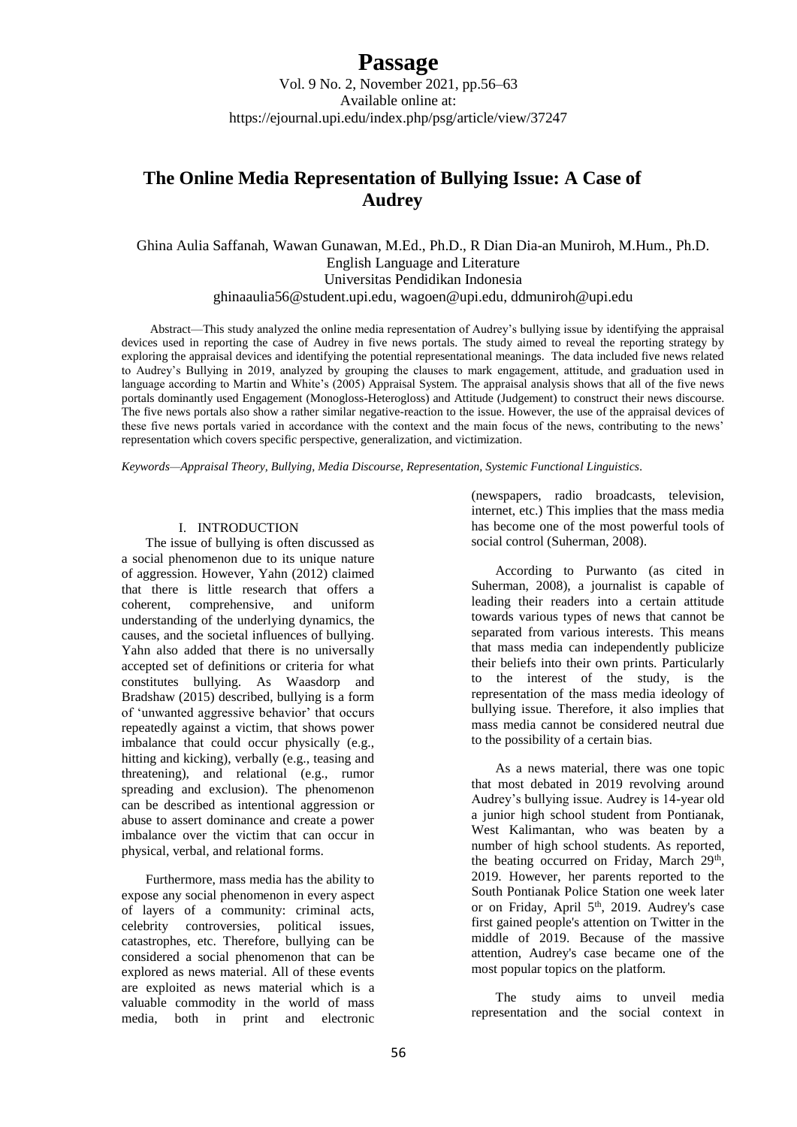Vol. 9 No. 2, November 2021, pp.56–63 Available online at: https://ejournal.upi.edu/index.php/psg/article/view/37247

## **The Online Media Representation of Bullying Issue: A Case of Audrey**

Ghina Aulia Saffanah, Wawan Gunawan, M.Ed., Ph.D., R Dian Dia-an Muniroh, M.Hum., Ph.D. English Language and Literature Universitas Pendidikan Indonesia [ghinaaulia56@student.upi.edu,](mailto:ghinaaulia56@student.upi.edu,__________) [wagoen@upi.edu,](mailto:wagoen@upi.edu) [ddmuniroh@upi.edu](mailto:ddmuniroh@upi.edu)

Abstract—This study analyzed the online media representation of Audrey's bullying issue by identifying the appraisal devices used in reporting the case of Audrey in five news portals. The study aimed to reveal the reporting strategy by exploring the appraisal devices and identifying the potential representational meanings. The data included five news related to Audrey's Bullying in 2019, analyzed by grouping the clauses to mark engagement, attitude, and graduation used in language according to Martin and White's (2005) Appraisal System. The appraisal analysis shows that all of the five news portals dominantly used Engagement (Monogloss-Heterogloss) and Attitude (Judgement) to construct their news discourse. The five news portals also show a rather similar negative-reaction to the issue. However, the use of the appraisal devices of these five news portals varied in accordance with the context and the main focus of the news, contributing to the news' representation which covers specific perspective, generalization, and victimization.

*Keywords—Appraisal Theory, Bullying, Media Discourse, Representation, Systemic Functional Linguistics.*

#### I. INTRODUCTION

The issue of bullying is often discussed as a social phenomenon due to its unique nature of aggression. However, Yahn (2012) claimed that there is little research that offers a coherent, comprehensive, and uniform understanding of the underlying dynamics, the causes, and the societal influences of bullying. Yahn also added that there is no universally accepted set of definitions or criteria for what constitutes bullying. As Waasdorp and Bradshaw (2015) described, bullying is a form of 'unwanted aggressive behavior' that occurs repeatedly against a victim, that shows power imbalance that could occur physically (e.g., hitting and kicking), verbally (e.g., teasing and threatening), and relational (e.g., rumor spreading and exclusion). The phenomenon can be described as intentional aggression or abuse to assert dominance and create a power imbalance over the victim that can occur in physical, verbal, and relational forms.

Furthermore, mass media has the ability to expose any social phenomenon in every aspect of layers of a community: criminal acts, celebrity controversies, political issues, catastrophes, etc. Therefore, bullying can be considered a social phenomenon that can be explored as news material. All of these events are exploited as news material which is a valuable commodity in the world of mass media, both in print and electronic

(newspapers, radio broadcasts, television, internet, etc.) This implies that the mass media has become one of the most powerful tools of social control (Suherman, 2008).

According to Purwanto (as cited in Suherman, 2008), a journalist is capable of leading their readers into a certain attitude towards various types of news that cannot be separated from various interests. This means that mass media can independently publicize their beliefs into their own prints. Particularly to the interest of the study, is the representation of the mass media ideology of bullying issue. Therefore, it also implies that mass media cannot be considered neutral due to the possibility of a certain bias.

As a news material, there was one topic that most debated in 2019 revolving around Audrey's bullying issue. Audrey is 14-year old a junior high school student from Pontianak, West Kalimantan, who was beaten by a number of high school students. As reported, the beating occurred on Friday, March 29<sup>th</sup>, 2019. However, her parents reported to the South Pontianak Police Station one week later or on Friday, April  $5<sup>th</sup>$ , 2019. Audrey's case first gained people's attention on Twitter in the middle of 2019. Because of the massive attention, Audrey's case became one of the most popular topics on the platform.

The study aims to unveil media representation and the social context in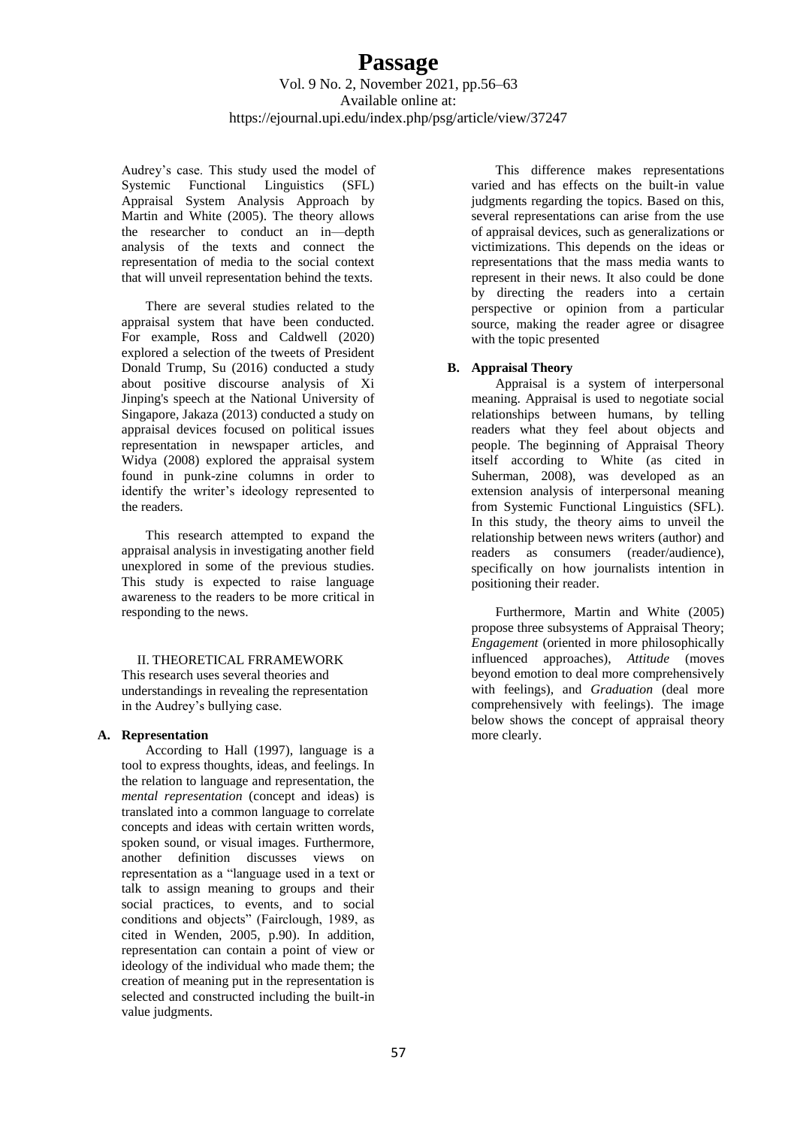Audrey's case. This study used the model of Systemic Functional Linguistics (SFL) Appraisal System Analysis Approach by Martin and White (2005). The theory allows the researcher to conduct an in—depth analysis of the texts and connect the representation of media to the social context that will unveil representation behind the texts.

There are several studies related to the appraisal system that have been conducted. For example, Ross and Caldwell (2020) explored a selection of the tweets of President Donald Trump, Su (2016) conducted a study about positive discourse analysis of Xi Jinping's speech at the National University of Singapore, Jakaza (2013) conducted a study on appraisal devices focused on political issues representation in newspaper articles, and Widya (2008) explored the appraisal system found in punk-zine columns in order to identify the writer's ideology represented to the readers.

This research attempted to expand the appraisal analysis in investigating another field unexplored in some of the previous studies. This study is expected to raise language awareness to the readers to be more critical in responding to the news.

II. THEORETICAL FRRAMEWORK This research uses several theories and understandings in revealing the representation in the Audrey's bullying case.

#### **A. Representation**

According to Hall (1997), language is a tool to express thoughts, ideas, and feelings. In the relation to language and representation, the *mental representation* (concept and ideas) is translated into a common language to correlate concepts and ideas with certain written words, spoken sound, or visual images. Furthermore, another definition discusses views on representation as a "language used in a text or talk to assign meaning to groups and their social practices, to events, and to social conditions and objects" (Fairclough, 1989, as cited in Wenden, 2005, p.90). In addition, representation can contain a point of view or ideology of the individual who made them; the creation of meaning put in the representation is selected and constructed including the built-in value judgments.

This difference makes representations varied and has effects on the built-in value judgments regarding the topics. Based on this, several representations can arise from the use of appraisal devices, such as generalizations or victimizations. This depends on the ideas or representations that the mass media wants to represent in their news. It also could be done by directing the readers into a certain perspective or opinion from a particular source, making the reader agree or disagree with the topic presented

#### **B. Appraisal Theory**

Appraisal is a system of interpersonal meaning. Appraisal is used to negotiate social relationships between humans, by telling readers what they feel about objects and people. The beginning of Appraisal Theory itself according to White (as cited in Suherman, 2008), was developed as an extension analysis of interpersonal meaning from Systemic Functional Linguistics (SFL). In this study, the theory aims to unveil the relationship between news writers (author) and readers as consumers (reader/audience), specifically on how journalists intention in positioning their reader.

Furthermore, Martin and White (2005) propose three subsystems of Appraisal Theory; *Engagement* (oriented in more philosophically influenced approaches), *Attitude* (moves beyond emotion to deal more comprehensively with feelings), and *Graduation* (deal more comprehensively with feelings). The image below shows the concept of appraisal theory more clearly.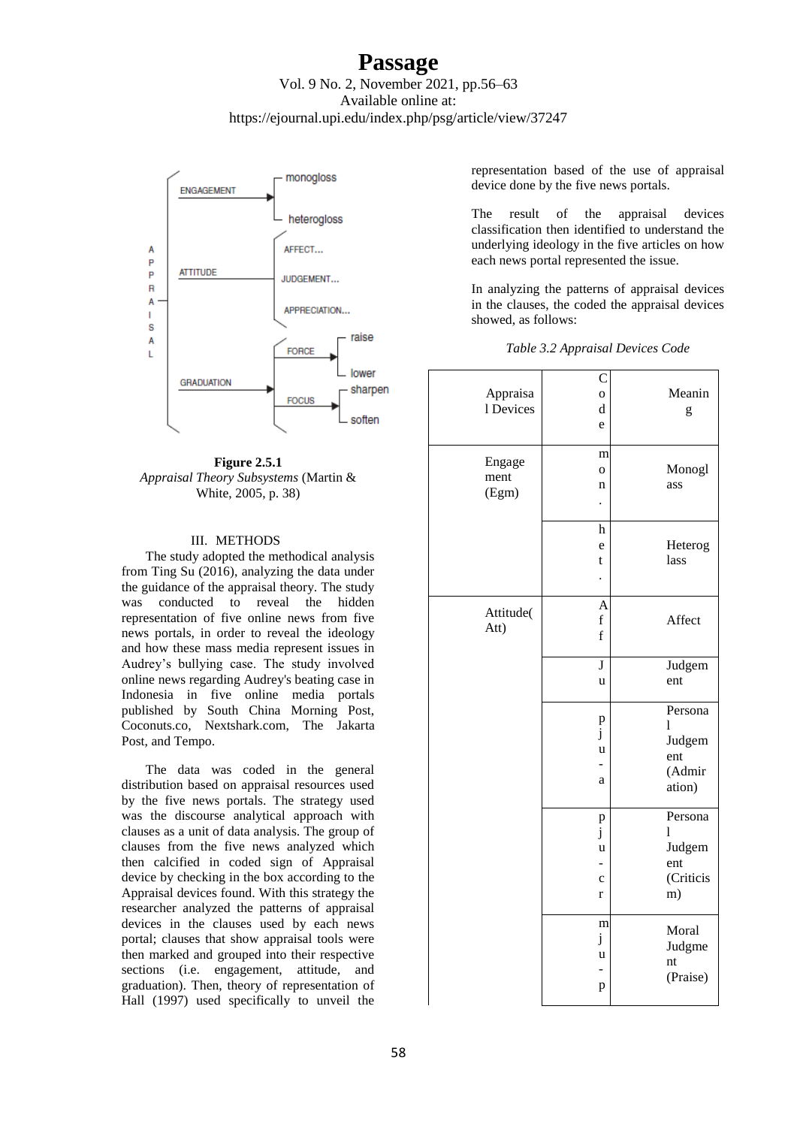### Vol. 9 No. 2, November 2021, pp.56–63 Available online at: https://ejournal.upi.edu/index.php/psg/article/view/37247



**Figure 2.5.1** *Appraisal Theory Subsystems* (Martin & White, 2005, p. 38)

#### III. METHODS

The study adopted the methodical analysis from Ting Su (2016), analyzing the data under the guidance of the appraisal theory. The study was conducted to reveal the hidden representation of five online news from five news portals, in order to reveal the ideology and how these mass media represent issues in Audrey's bullying case. The study involved online news regarding Audrey's beating case in Indonesia in five online media portals published by South China Morning Post, Coconuts.co, Nextshark.com, The Jakarta Post, and Tempo.

The data was coded in the general distribution based on appraisal resources used by the five news portals. The strategy used was the discourse analytical approach with clauses as a unit of data analysis. The group of clauses from the five news analyzed which then calcified in coded sign of Appraisal device by checking in the box according to the Appraisal devices found. With this strategy the researcher analyzed the patterns of appraisal devices in the clauses used by each news portal; clauses that show appraisal tools were then marked and grouped into their respective sections (i.e. engagement, attitude, and graduation). Then, theory of representation of Hall (1997) used specifically to unveil the

representation based of the use of appraisal device done by the five news portals.

The result of the appraisal devices classification then identified to understand the underlying ideology in the five articles on how each news portal represented the issue.

In analyzing the patterns of appraisal devices in the clauses, the coded the appraisal devices showed, as follows:

| Table 3.2 Appraisal Devices Code |  |  |  |
|----------------------------------|--|--|--|
|                                  |  |  |  |

| Appraisa<br>1 Devices   | C<br>0<br>d<br>e                             | Meanin<br>g                                       |
|-------------------------|----------------------------------------------|---------------------------------------------------|
| Engage<br>ment<br>(Egm) | m<br>$\overline{O}$<br>n                     | Monogl<br>ass                                     |
|                         | $\boldsymbol{\text{h}}$<br>e<br>t            | Heterog<br>lass                                   |
| Attitude(<br>Att)       | $\overline{A}$<br>$\mathbf f$<br>$\mathbf f$ | Affect                                            |
|                         | J<br>u                                       | Judgem<br>ent                                     |
|                         | $\displaystyle \mathop{p}_{j}$<br>u<br>a     | Persona<br>1<br>Judgem<br>ent<br>(Admir<br>ation) |
|                         | p<br>j<br>u<br>$\mathbf c$<br>$\mathbf{r}$   | Persona<br>1<br>Judgem<br>ent<br>(Criticis<br>m)  |
|                         | m<br>j<br>u<br>p                             | Moral<br>Judgme<br>nt<br>(Praise)                 |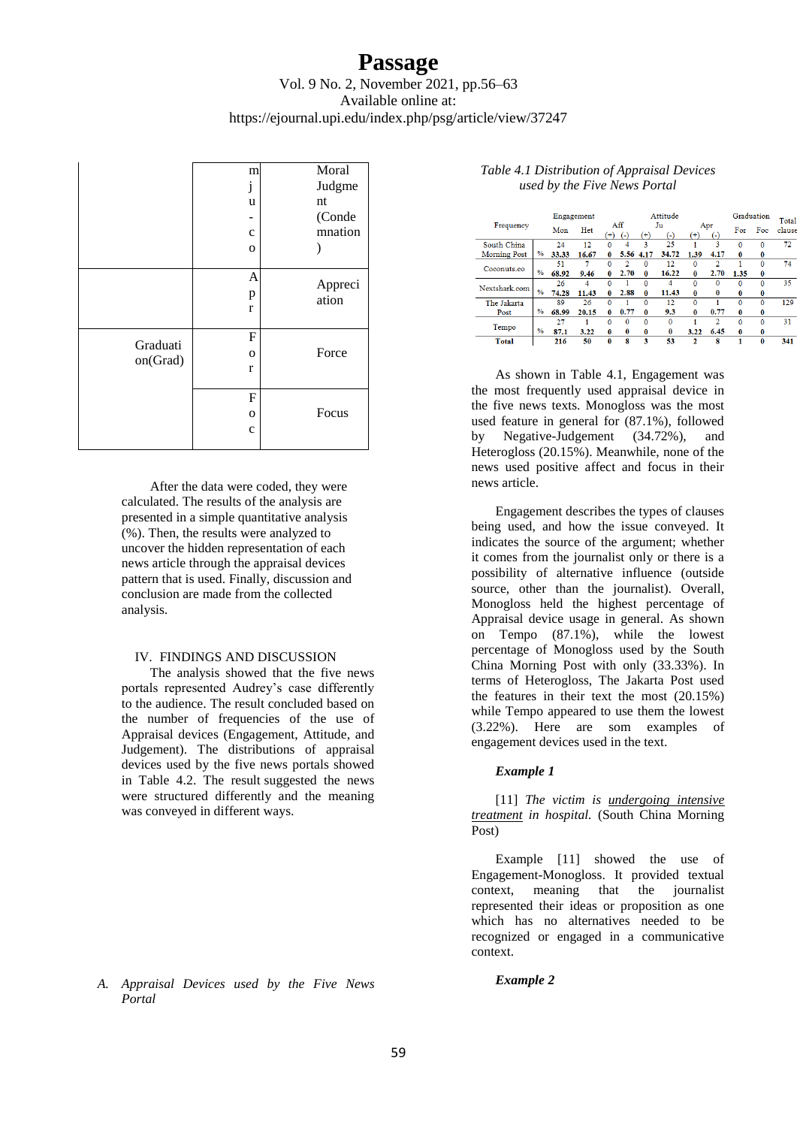### Vol. 9 No. 2, November 2021, pp.56–63 Available online at: https://ejournal.upi.edu/index.php/psg/article/view/37247

|          | m            | Moral   |
|----------|--------------|---------|
|          | j            | Judgme  |
|          | u            | nt      |
|          |              | (Conde  |
|          | $\mathbf{C}$ | mnation |
|          | $\mathbf 0$  |         |
|          |              |         |
|          | A            | Appreci |
|          | p            | ation   |
|          | $\mathbf{r}$ |         |
|          |              |         |
| Graduati | $\mathbf F$  |         |
| on(Grad) | O            | Force   |
|          | r            |         |
|          |              |         |
|          | $\mathbf F$  |         |
|          | $\mathbf 0$  | Focus   |
|          | $\mathbf c$  |         |
|          |              |         |

After the data were coded, they were calculated. The results of the analysis are presented in a simple quantitative analysis (%). Then, the results were analyzed to uncover the hidden representation of each news article through the appraisal devices pattern that is used. Finally, discussion and conclusion are made from the collected analysis.

### IV. FINDINGS AND DISCUSSION

The analysis showed that the five news portals represented Audrey's case differently to the audience. The result concluded based on the number of frequencies of the use of Appraisal devices (Engagement, Attitude, and Judgement). The distributions of appraisal devices used by the five news portals showed in Table 4.2. The result suggested the news were structured differently and the meaning was conveyed in different ways.

### Attitude Engagement

|                     | Frequency | Engagement    |       |       | Attitude |              |          |              | Graduation |                          | Total        |          |        |
|---------------------|-----------|---------------|-------|-------|----------|--------------|----------|--------------|------------|--------------------------|--------------|----------|--------|
|                     |           |               | Mon   | Het   | $^{(+)}$ | Aff<br>$(-)$ | $^{(+)}$ | Ju<br>$(-)$  | $^{(+)}$   | Apr<br>$\left( -\right)$ | For          | Foc      | clause |
| South China         |           |               | 24    | 12    | $\Omega$ | 4            | 3        | 25           |            | 3                        | $\Omega$     | $\Omega$ | 72     |
| <b>Morning Post</b> |           | $\%$          | 33.33 | 16.67 | 0        | 5.56         | 4.17     | 34.72        | 1.39       | 4.17                     | $\mathbf{0}$ | 0        |        |
| Coconuts.co         |           |               | 51    | 7     | $\Omega$ | 2            | $\Omega$ | 12           | $\Omega$   | 2                        |              | 0        | 74     |
|                     |           | $\frac{9}{6}$ | 68.92 | 9.46  | $\bf{0}$ | 2.70         | $\bf{0}$ | 16.22        | $\bf{0}$   | 2.70                     | 1.35         | $\bf{0}$ |        |
| Nextshark.com       |           |               | 26    | 4     | $\Omega$ |              | $\Omega$ | 4            | $\Omega$   | $\Omega$                 | $\Omega$     | $\Omega$ | 35     |
|                     |           | $\frac{9}{6}$ | 74.28 | 11.43 | 0        | 2.88         | $\bf{0}$ | 11.43        | 0          | $\bf{0}$                 | $\bf{0}$     | 0        |        |
| The Jakarta         |           |               | 89    | 26    | $\Omega$ |              | $\Omega$ | 12           | $\Omega$   |                          | $\Omega$     | $\Omega$ | 129    |
| Post                |           | $\%$          | 68.99 | 20.15 | 0        | 0.77         | 0        | 9.3          | 0          | 0.77                     | $\bf{0}$     | 0        |        |
|                     |           |               | 27    |       | $\Omega$ | $\mathbf{0}$ | $\bf{0}$ | $\bf{0}$     |            | 2                        | $\bf{0}$     | $\Omega$ | 31     |
| Tempo               |           | $\%$          | 87.1  | 3.22  | 0        | $\bf{0}$     | $\bf{0}$ | $\mathbf{0}$ | 3.22       | 6.45                     | $\bf{0}$     | 0        |        |
| <b>Total</b>        |           |               | 216   | 50    | $\bf{0}$ | 8            | 3        | 53           | 2          | 8                        |              | 0        | 341    |

As shown in Table 4.1, Engagement was the most frequently used appraisal device in the five news texts. Monogloss was the most used feature in general for (87.1%), followed by Negative-Judgement (34.72%), and Heterogloss (20.15%). Meanwhile, none of the news used positive affect and focus in their news article.

*Table 4.1 Distribution of Appraisal Devices used by the Five News Portal*

Engagement describes the types of clauses being used, and how the issue conveyed. It indicates the source of the argument; whether it comes from the journalist only or there is a possibility of alternative influence (outside source, other than the journalist). Overall, Monogloss held the highest percentage of Appraisal device usage in general. As shown on Tempo (87.1%), while the lowest percentage of Monogloss used by the South China Morning Post with only (33.33%). In terms of Heterogloss, The Jakarta Post used the features in their text the most (20.15%) while Tempo appeared to use them the lowest (3.22%). Here are som examples of engagement devices used in the text.

### *Example 1*

[11] *The victim is undergoing intensive treatment in hospital.* (South China Morning Post)

Example [11] showed the use of Engagement-Monogloss. It provided textual context, meaning that the journalist represented their ideas or proposition as one which has no alternatives needed to be recognized or engaged in a communicative context.

*A. Appraisal Devices used by the Five News Portal*

*Example 2*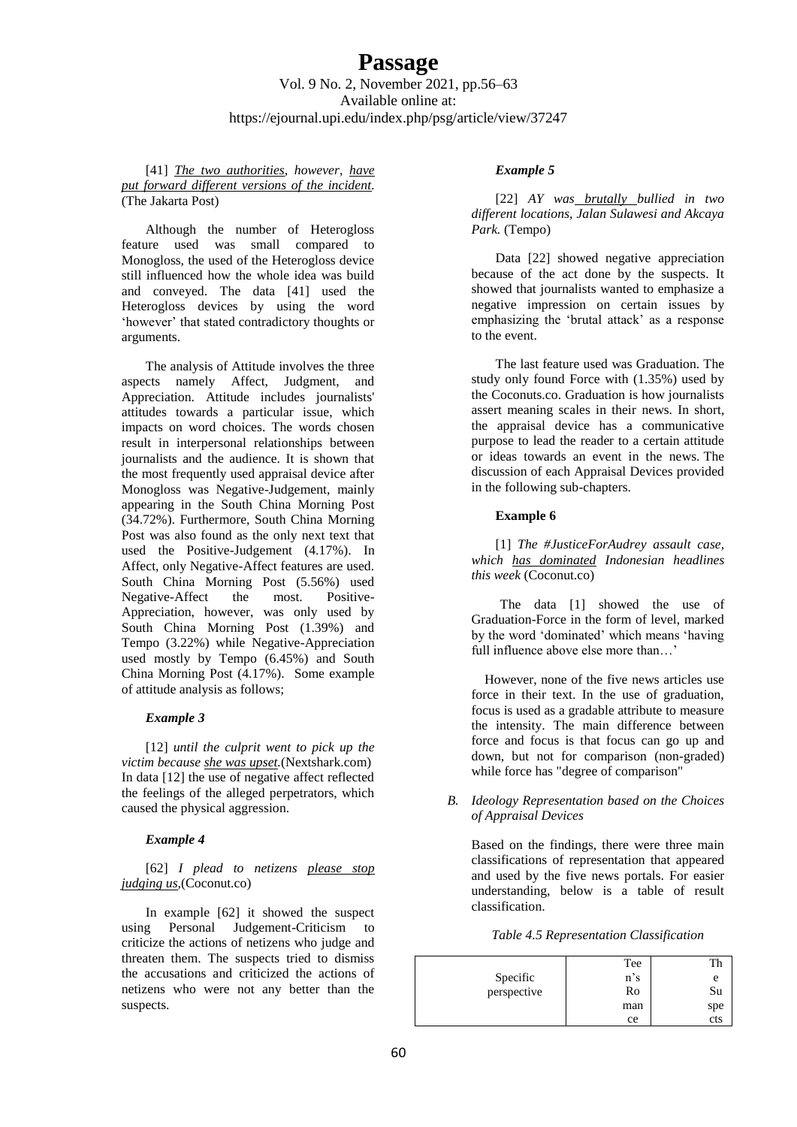[41] *The two authorities, however, have put forward different versions of the incident.* (The Jakarta Post)

Although the number of Heterogloss feature used was small compared to Monogloss, the used of the Heterogloss device still influenced how the whole idea was build and conveyed. The data [41] used the Heterogloss devices by using the word 'however' that stated contradictory thoughts or arguments.

The analysis of Attitude involves the three aspects namely Affect, Judgment, and Appreciation. Attitude includes journalists' attitudes towards a particular issue, which impacts on word choices. The words chosen result in interpersonal relationships between journalists and the audience. It is shown that the most frequently used appraisal device after Monogloss was Negative-Judgement, mainly appearing in the South China Morning Post (34.72%). Furthermore, South China Morning Post was also found as the only next text that used the Positive-Judgement (4.17%). In Affect, only Negative-Affect features are used. South China Morning Post (5.56%) used Negative-Affect the most. Positive-Appreciation, however, was only used by South China Morning Post (1.39%) and Tempo (3.22%) while Negative-Appreciation used mostly by Tempo (6.45%) and South China Morning Post (4.17%). Some example of attitude analysis as follows;

#### *Example 3*

[12] *until the culprit went to pick up the victim because she was upset.*(Nextshark.com) In data [12] the use of negative affect reflected the feelings of the alleged perpetrators, which caused the physical aggression.

### *Example 4*

[62] *I plead to netizens please stop judging us,*(Coconut.co)

In example [62] it showed the suspect using Personal Judgement-Criticism to criticize the actions of netizens who judge and threaten them. The suspects tried to dismiss the accusations and criticized the actions of netizens who were not any better than the suspects.

#### *Example 5*

[22] *AY was brutally bullied in two different locations, Jalan Sulawesi and Akcaya Park.* (Tempo)

Data [22] showed negative appreciation because of the act done by the suspects. It showed that journalists wanted to emphasize a negative impression on certain issues by emphasizing the 'brutal attack' as a response to the event.

The last feature used was Graduation. The study only found Force with (1.35%) used by the Coconuts.co. Graduation is how journalists assert meaning scales in their news. In short, the appraisal device has a communicative purpose to lead the reader to a certain attitude or ideas towards an event in the news. The discussion of each Appraisal Devices provided in the following sub-chapters.

#### **Example 6**

[1] *The #JusticeForAudrey assault case, which has dominated Indonesian headlines this week* (Coconut.co)

The data [1] showed the use of Graduation-Force in the form of level, marked by the word 'dominated' which means 'having full influence above else more than…'

However, none of the five news articles use force in their text. In the use of graduation, focus is used as a gradable attribute to measure the intensity. The main difference between force and focus is that focus can go up and down, but not for comparison (non-graded) while force has "degree of comparison"

#### *B. Ideology Representation based on the Choices of Appraisal Devices*

Based on the findings, there were three main classifications of representation that appeared and used by the five news portals. For easier understanding, below is a table of result classification.

*Table 4.5 Representation Classification*

|             | Tee    |     |
|-------------|--------|-----|
| Specific    | $n$ 's |     |
| perspective | Ro     | Su  |
|             | man    | spe |
|             | ce     | cts |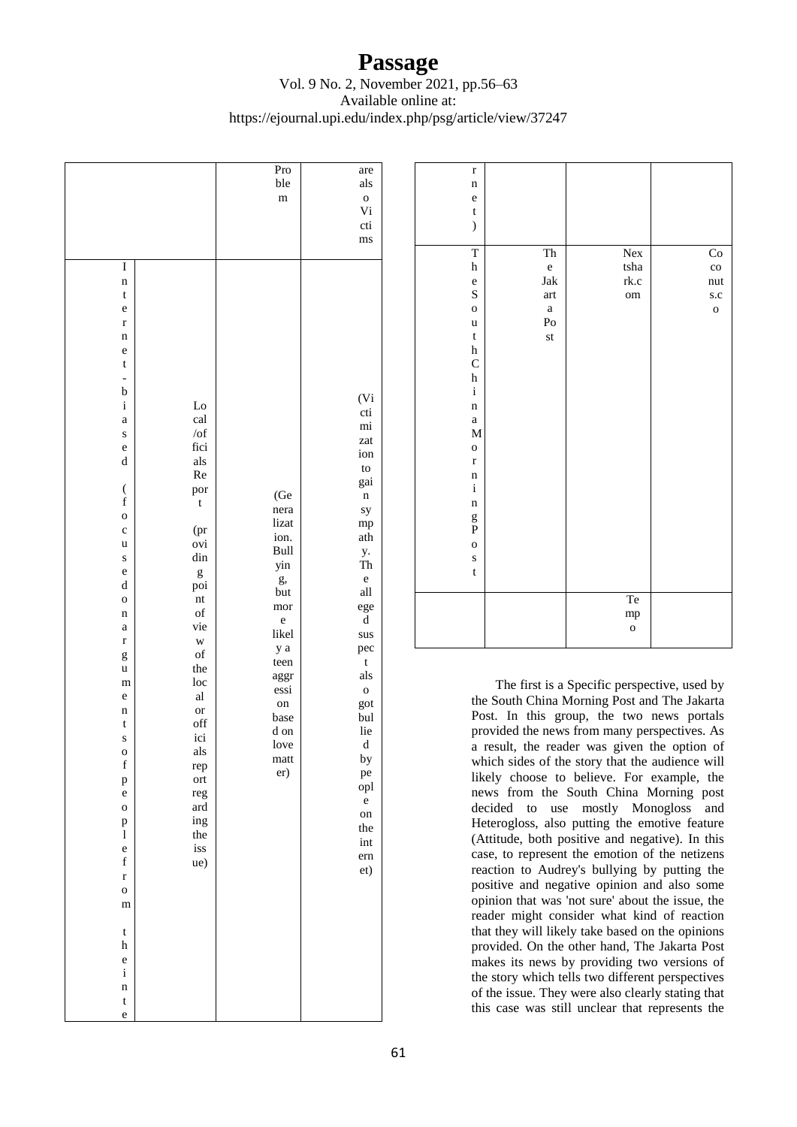### Vol. 9 No. 2, November 2021, pp.56–63 Available online at: https://ejournal.upi.edu/index.php/psg/article/view/37247

|                                                                                                                                                                                                                                                                                                                                                                                                                                                                                                                                                                                        |                                                                                                                                                                                                                                                             | Pro<br>ble<br>m                                                                                                                                                      | are<br>als<br>$\mathbf{o}$                                                                                                                                                                                                                                                             |
|----------------------------------------------------------------------------------------------------------------------------------------------------------------------------------------------------------------------------------------------------------------------------------------------------------------------------------------------------------------------------------------------------------------------------------------------------------------------------------------------------------------------------------------------------------------------------------------|-------------------------------------------------------------------------------------------------------------------------------------------------------------------------------------------------------------------------------------------------------------|----------------------------------------------------------------------------------------------------------------------------------------------------------------------|----------------------------------------------------------------------------------------------------------------------------------------------------------------------------------------------------------------------------------------------------------------------------------------|
|                                                                                                                                                                                                                                                                                                                                                                                                                                                                                                                                                                                        |                                                                                                                                                                                                                                                             |                                                                                                                                                                      | Vi<br>cti<br>ms                                                                                                                                                                                                                                                                        |
| I<br>$\mathbf n$<br>$\mathsf t$<br>e<br>$\mathbf{r}$<br>n<br>e<br>t<br>$\overline{a}$<br>$\mathbf b$<br>$\mathbf i$<br>$\mathbf a$<br>S<br>e<br>$\mathbf d$<br>$\overline{\mathcal{L}}$<br>$\mathbf f$<br>$\mathbf{o}$<br>$\mathbf c$<br>u<br>S<br>e<br>$\mathbf d$<br>$\mathbf{o}$<br>$\mathbf n$<br>$\mathbf a$<br>$\mathbf r$<br>g<br>u<br>m<br>e<br>$\mathbf n$<br>t<br>S<br>O<br>$\mathbf f$<br>p<br>e<br>$\mathbf{o}$<br>$_{\rm l}^{\rm p}$<br>$\mathbf e$<br>$\mathbf f$<br>$\mathbf{r}$<br>$\mathbf{o}$<br>m<br>$\mathbf t$<br>h<br>$\mathbf{e}$<br>$\mathbf i$<br>$\mathbf n$ | Lo<br>cal<br>/of<br>fici<br>als<br>Re<br>por<br>t<br>(pr<br>ovi<br>din<br>g<br>poi<br>nt<br>of<br>vie<br>W<br>$_{\rm of}$<br>the<br>loc<br>$\mathbf{a}\mathbf{l}$<br><b>or</b><br>off<br>ici<br>als<br>rep<br>ort<br>reg<br>ard<br>ing<br>the<br>iss<br>ue) | (Ge<br>nera<br>lizat<br>ion.<br>Bull<br>yin<br>g,<br>but<br>mor<br>$\mathbf{e}$<br>likel<br>y a<br>teen<br>aggr<br>essi<br>on<br>base<br>d on<br>love<br>matt<br>er) | (Vi<br>cti<br>mi<br>zat<br>ion<br>to<br>gai<br>$\mathbf n$<br>sy<br>mp<br>ath<br>y.<br>Th<br>e<br>$\operatorname{all}$<br>ege<br>$\rm d$<br>sus<br>pec<br>$\mathbf t$<br>als<br>$\mathbf{o}$<br>got<br>bul<br>lie<br>$\rm d$<br>by<br>pe<br>opl<br>e<br>on<br>the<br>int<br>ern<br>et) |
| $\mathbf t$<br>e                                                                                                                                                                                                                                                                                                                                                                                                                                                                                                                                                                       |                                                                                                                                                                                                                                                             |                                                                                                                                                                      |                                                                                                                                                                                                                                                                                        |

| $\mathbf{r}$              |                      |              |              |
|---------------------------|----------------------|--------------|--------------|
| $\mathbf n$               |                      |              |              |
| $\mathbf e$               |                      |              |              |
| $\mathbf t$               |                      |              |              |
| $\mathcal{E}$             |                      |              |              |
|                           |                      |              |              |
| $\overline{\mathrm{T}}$   | Th                   | Nex          | Co           |
| $\boldsymbol{\textbf{h}}$ | $\rm e$              | $tsha$       | $_{\rm co}$  |
| $\mathbf{e}$              | Jak                  | rk.c         | nut          |
| $\overline{\mathbf{S}}$   | art                  | om           | s.c          |
| $\overline{O}$            | $\mathbf{a}$         |              | $\mathbf{o}$ |
| $\mathbf u$               | $\mathbf{p}_{\rm O}$ |              |              |
| $\mathbf t$               | st                   |              |              |
| $\boldsymbol{\text{h}}$   |                      |              |              |
| $\mathsf{C}$              |                      |              |              |
| $\boldsymbol{\textbf{h}}$ |                      |              |              |
| $\rm i$                   |                      |              |              |
| $\mathbf n$               |                      |              |              |
| $\rm{a}$                  |                      |              |              |
| $\mathbf M$               |                      |              |              |
| $\mathbf{o}$              |                      |              |              |
| $\mathbf r$               |                      |              |              |
| $\mathbf n$               |                      |              |              |
| $\mathbf i$               |                      |              |              |
| $\mathbf n$               |                      |              |              |
| g<br>P                    |                      |              |              |
|                           |                      |              |              |
| $\mathbf{o}$              |                      |              |              |
| S                         |                      |              |              |
| $\mathbf t$               |                      |              |              |
|                           |                      |              |              |
|                           |                      | Te           |              |
|                           |                      | mp           |              |
|                           |                      | $\mathbf{o}$ |              |
|                           |                      |              |              |

The first is a Specific perspective, used by the South China Morning Post and The Jakarta Post. In this group, the two news portals provided the news from many perspectives. As a result, the reader was given the option of which sides of the story that the audience will likely choose to believe. For example, the news from the South China Morning post decided to use mostly Monogloss and Heterogloss, also putting the emotive feature (Attitude, both positive and negative). In this case, to represent the emotion of the netizens reaction to Audrey's bullying by putting the positive and negative opinion and also some opinion that was 'not sure' about the issue, the reader might consider what kind of reaction that they will likely take based on the opinions provided. On the other hand, The Jakarta Post makes its news by providing two versions of the story which tells two different perspectives of the issue. They were also clearly stating that this case was still unclear that represents the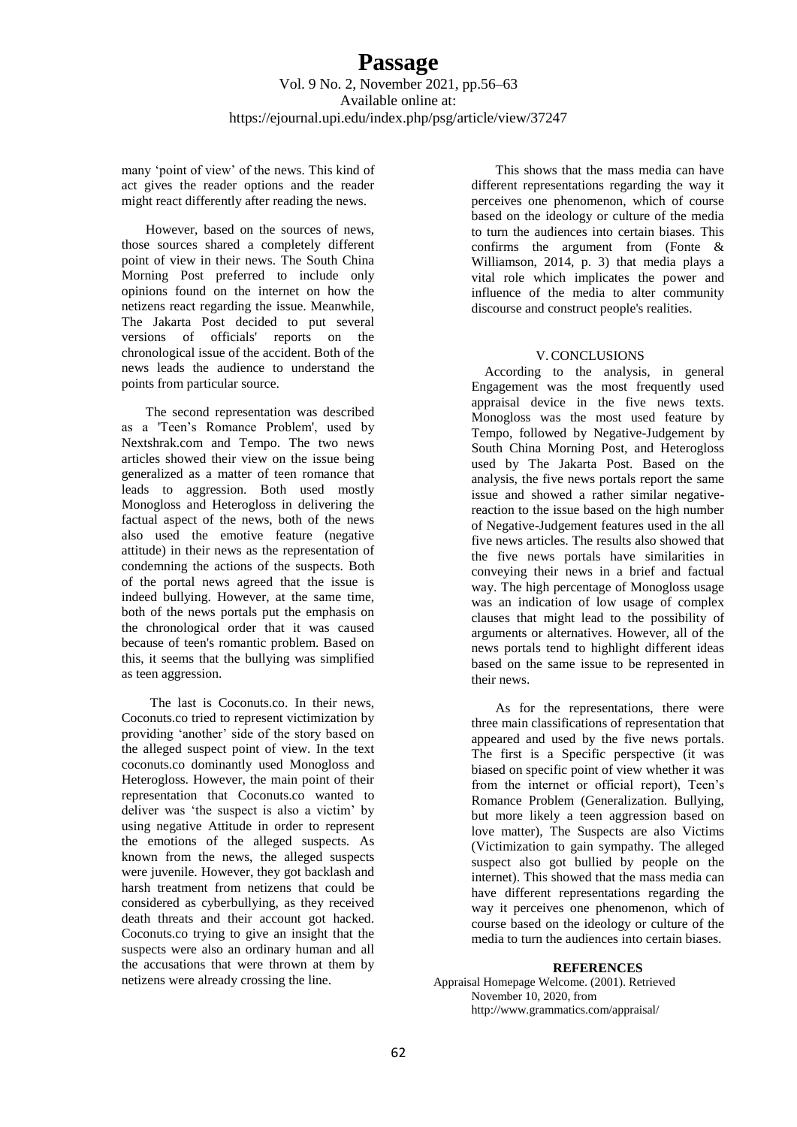many 'point of view' of the news. This kind of act gives the reader options and the reader might react differently after reading the news.

However, based on the sources of news, those sources shared a completely different point of view in their news. The South China Morning Post preferred to include only opinions found on the internet on how the netizens react regarding the issue. Meanwhile, The Jakarta Post decided to put several versions of officials' reports on the chronological issue of the accident. Both of the news leads the audience to understand the points from particular source.

The second representation was described as a 'Teen's Romance Problem', used by Nextshrak.com and Tempo. The two news articles showed their view on the issue being generalized as a matter of teen romance that leads to aggression. Both used mostly Monogloss and Heterogloss in delivering the factual aspect of the news, both of the news also used the emotive feature (negative attitude) in their news as the representation of condemning the actions of the suspects. Both of the portal news agreed that the issue is indeed bullying. However, at the same time, both of the news portals put the emphasis on the chronological order that it was caused because of teen's romantic problem. Based on this, it seems that the bullying was simplified as teen aggression.

The last is Coconuts.co. In their news, Coconuts.co tried to represent victimization by providing 'another' side of the story based on the alleged suspect point of view. In the text coconuts.co dominantly used Monogloss and Heterogloss. However, the main point of their representation that Coconuts.co wanted to deliver was 'the suspect is also a victim' by using negative Attitude in order to represent the emotions of the alleged suspects. As known from the news, the alleged suspects were juvenile. However, they got backlash and harsh treatment from netizens that could be considered as cyberbullying, as they received death threats and their account got hacked. Coconuts.co trying to give an insight that the suspects were also an ordinary human and all the accusations that were thrown at them by netizens were already crossing the line.

This shows that the mass media can have different representations regarding the way it perceives one phenomenon, which of course based on the ideology or culture of the media to turn the audiences into certain biases. This confirms the argument from (Fonte & Williamson, 2014, p. 3) that media plays a vital role which implicates the power and influence of the media to alter community discourse and construct people's realities.

### V. CONCLUSIONS

According to the analysis, in general Engagement was the most frequently used appraisal device in the five news texts. Monogloss was the most used feature by Tempo, followed by Negative-Judgement by South China Morning Post, and Heterogloss used by The Jakarta Post. Based on the analysis, the five news portals report the same issue and showed a rather similar negativereaction to the issue based on the high number of Negative-Judgement features used in the all five news articles. The results also showed that the five news portals have similarities in conveying their news in a brief and factual way. The high percentage of Monogloss usage was an indication of low usage of complex clauses that might lead to the possibility of arguments or alternatives. However, all of the news portals tend to highlight different ideas based on the same issue to be represented in their news.

As for the representations, there were three main classifications of representation that appeared and used by the five news portals. The first is a Specific perspective (it was biased on specific point of view whether it was from the internet or official report), Teen's Romance Problem (Generalization. Bullying, but more likely a teen aggression based on love matter), The Suspects are also Victims (Victimization to gain sympathy. The alleged suspect also got bullied by people on the internet). This showed that the mass media can have different representations regarding the way it perceives one phenomenon, which of course based on the ideology or culture of the media to turn the audiences into certain biases.

#### **REFERENCES**

Appraisal Homepage Welcome. (2001). Retrieved November 10, 2020, from http://www.grammatics.com/appraisal/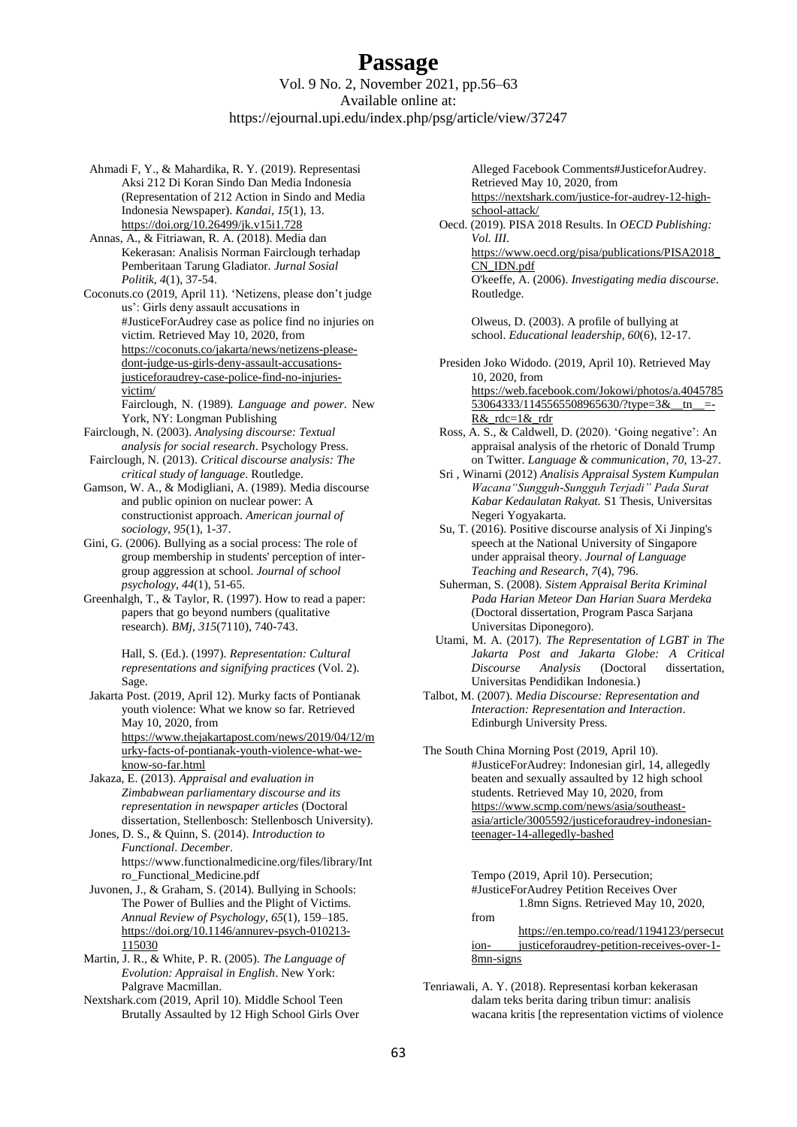- Ahmadi F, Y., & Mahardika, R. Y. (2019). Representasi Aksi 212 Di Koran Sindo Dan Media Indonesia (Representation of 212 Action in Sindo and Media Indonesia Newspaper). *Kandai*, *15*(1), 13. <https://doi.org/10.26499/jk.v15i1.728>
- Annas, A., & Fitriawan, R. A. (2018). Media dan Kekerasan: Analisis Norman Fairclough terhadap Pemberitaan Tarung Gladiator. *Jurnal Sosial Politik*, *4*(1), 37-54.

Coconuts.co (2019, April 11). 'Netizens, please don't judge us': Girls deny assault accusations in #JusticeForAudrey case as police find no injuries on victim. Retrieved May 10, 2020, from [https://coconuts.co/jakarta/news/netizens-please](https://coconuts.co/jakarta/news/netizens-please-dont-judge-us-girls-deny-assault-accusations-justiceforaudrey-case-police-find-no-injuries-victim/)[dont-judge-us-girls-deny-assault-accusations](https://coconuts.co/jakarta/news/netizens-please-dont-judge-us-girls-deny-assault-accusations-justiceforaudrey-case-police-find-no-injuries-victim/)[justiceforaudrey-case-police-find-no-injuries](https://coconuts.co/jakarta/news/netizens-please-dont-judge-us-girls-deny-assault-accusations-justiceforaudrey-case-police-find-no-injuries-victim/)[victim/](https://coconuts.co/jakarta/news/netizens-please-dont-judge-us-girls-deny-assault-accusations-justiceforaudrey-case-police-find-no-injuries-victim/)

Fairclough, N. (1989). *Language and power.* New York, NY: Longman Publishing

- Fairclough, N. (2003). *Analysing discourse: Textual analysis for social research*. Psychology Press. Fairclough, N. (2013). *Critical discourse analysis: The*
- *critical study of language*. Routledge.
- Gamson, W. A., & Modigliani, A. (1989). Media discourse and public opinion on nuclear power: A constructionist approach. *American journal of sociology*, *95*(1), 1-37.
- Gini, G. (2006). Bullying as a social process: The role of group membership in students' perception of intergroup aggression at school. *Journal of school psychology*, *44*(1), 51-65.
- Greenhalgh, T., & Taylor, R. (1997). How to read a paper: papers that go beyond numbers (qualitative research). *BMj*, *315*(7110), 740-743.

Hall, S. (Ed.). (1997). *Representation: Cultural representations and signifying practices* (Vol. 2). Sage.

- Jakarta Post. (2019, April 12). Murky facts of Pontianak youth violence: What we know so far. Retrieved May 10, 2020, from [https://www.thejakartapost.com/news/2019/04/12/m](https://www.thejakartapost.com/news/2019/04/12/murky-facts-of-pontianak-youth-violence-what-we-know-so-far.html) [urky-facts-of-pontianak-youth-violence-what-we](https://www.thejakartapost.com/news/2019/04/12/murky-facts-of-pontianak-youth-violence-what-we-know-so-far.html)[know-so-far.html](https://www.thejakartapost.com/news/2019/04/12/murky-facts-of-pontianak-youth-violence-what-we-know-so-far.html)
- Jakaza, E. (2013). *Appraisal and evaluation in Zimbabwean parliamentary discourse and its representation in newspaper articles* (Doctoral dissertation, Stellenbosch: Stellenbosch University).

Jones, D. S., & Quinn, S. (2014). *Introduction to Functional*. *December*. https://www.functionalmedicine.org/files/library/Int ro\_Functional\_Medicine.pdf

Juvonen, J., & Graham, S. (2014). Bullying in Schools: The Power of Bullies and the Plight of Victims. *Annual Review of Psychology*, *65*(1), 159–185. [https://doi.org/10.1146/annurev-psych-010213-](https://doi.org/10.1146/annurev-psych-010213-115030) [115030](https://doi.org/10.1146/annurev-psych-010213-115030)

Martin, J. R., & White, P. R. (2005). *The Language of Evolution: Appraisal in English*. New York: Palgrave Macmillan.

Nextshark.com (2019, April 10). Middle School Teen Brutally Assaulted by 12 High School Girls Over

Alleged Facebook Comments#JusticeforAudrey. Retrieved May 10, 2020, from [https://nextshark.com/justice-for-audrey-12-high](https://nextshark.com/justice-for-audrey-12-high-school-attack/)[school-attack/](https://nextshark.com/justice-for-audrey-12-high-school-attack/)

Oecd. (2019). PISA 2018 Results. In *OECD Publishing: Vol. III*. [https://www.oecd.org/pisa/publications/PISA2018\\_](https://www.oecd.org/pisa/publications/PISA2018_CN_IDN.pdf) [CN\\_IDN.pdf](https://www.oecd.org/pisa/publications/PISA2018_CN_IDN.pdf) O'keeffe, A. (2006). *Investigating media discourse*. Routledge.

> Olweus, D. (2003). A profile of bullying at school. *Educational leadership*, *60*(6), 12-17.

Presiden Joko Widodo. (2019, April 10). Retrieved May 10, 2020, from [https://web.facebook.com/Jokowi/photos/a.4045785](https://web.facebook.com/Jokowi/photos/a.404578553064333/1145565508965630/?type=3&__tn__=-R&_rdc=1&_rdr) 53064333/1145565508965630/?type=3& tn =-[R&\\_rdc=1&\\_rdr](https://web.facebook.com/Jokowi/photos/a.404578553064333/1145565508965630/?type=3&__tn__=-R&_rdc=1&_rdr)

- Ross, A. S., & Caldwell, D. (2020). 'Going negative': An appraisal analysis of the rhetoric of Donald Trump on Twitter. *Language & communication*, *70*, 13-27.
- Sri , Winarni (2012) *Analisis Appraisal System Kumpulan Wacana"Sungguh-Sungguh Terjadi" Pada Surat Kabar Kedaulatan Rakyat.* S1 Thesis, Universitas Negeri Yogyakarta.
- Su, T. (2016). Positive discourse analysis of Xi Jinping's speech at the National University of Singapore under appraisal theory. *Journal of Language Teaching and Research*, *7*(4), 796.
- Suherman, S. (2008). *Sistem Appraisal Berita Kriminal Pada Harian Meteor Dan Harian Suara Merdeka* (Doctoral dissertation, Program Pasca Sarjana Universitas Diponegoro).
- Utami, M. A. (2017). *The Representation of LGBT in The Jakarta Post and Jakarta Globe: A Critical Discourse Analysis* (Doctoral dissertation, Universitas Pendidikan Indonesia.)
- Talbot, M. (2007). *Media Discourse: Representation and Interaction: Representation and Interaction*. Edinburgh University Press.

The South China Morning Post (2019, April 10). #JusticeForAudrey: Indonesian girl, 14, allegedly beaten and sexually assaulted by 12 high school students. Retrieved May 10, 2020, from [https://www.scmp.com/news/asia/southeast](https://www.scmp.com/news/asia/southeast-asia/article/3005592/justiceforaudrey-indonesian-teenager-14-allegedly-bashed)[asia/article/3005592/justiceforaudrey-indonesian](https://www.scmp.com/news/asia/southeast-asia/article/3005592/justiceforaudrey-indonesian-teenager-14-allegedly-bashed)[teenager-14-allegedly-bashed](https://www.scmp.com/news/asia/southeast-asia/article/3005592/justiceforaudrey-indonesian-teenager-14-allegedly-bashed)

> Tempo (2019, April 10). Persecution; #JusticeForAudrey Petition Receives Over 1.8mn Signs. Retrieved May 10, 2020,

from [https://en.tempo.co/read/1194123/persecut](https://en.tempo.co/read/1194123/persecution-%09justiceforaudrey-petition-receives-over-1-8mn-signs) ion- [justiceforaudrey-petition-receives-over-1-](https://en.tempo.co/read/1194123/persecution-%09justiceforaudrey-petition-receives-over-1-8mn-signs) [8mn-signs](https://en.tempo.co/read/1194123/persecution-%09justiceforaudrey-petition-receives-over-1-8mn-signs)

Tenriawali, A. Y. (2018). Representasi korban kekerasan dalam teks berita daring tribun timur: analisis wacana kritis [the representation victims of violence